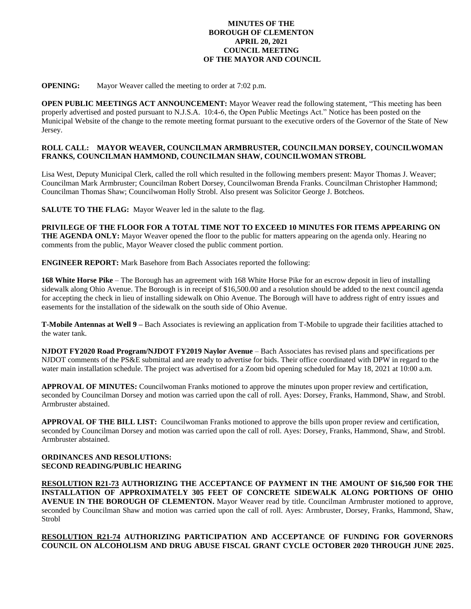## **MINUTES OF THE BOROUGH OF CLEMENTON APRIL 20, 2021 COUNCIL MEETING OF THE MAYOR AND COUNCIL**

**OPENING:** Mayor Weaver called the meeting to order at 7:02 p.m.

**OPEN PUBLIC MEETINGS ACT ANNOUNCEMENT:** Mayor Weaver read the following statement, "This meeting has been properly advertised and posted pursuant to N.J.S.A. 10:4-6, the Open Public Meetings Act." Notice has been posted on the Municipal Website of the change to the remote meeting format pursuant to the executive orders of the Governor of the State of New Jersey.

## **ROLL CALL: MAYOR WEAVER, COUNCILMAN ARMBRUSTER, COUNCILMAN DORSEY, COUNCILWOMAN FRANKS, COUNCILMAN HAMMOND, COUNCILMAN SHAW, COUNCILWOMAN STROBL**

Lisa West, Deputy Municipal Clerk, called the roll which resulted in the following members present: Mayor Thomas J. Weaver; Councilman Mark Armbruster; Councilman Robert Dorsey, Councilwoman Brenda Franks. Councilman Christopher Hammond; Councilman Thomas Shaw; Councilwoman Holly Strobl. Also present was Solicitor George J. Botcheos.

**SALUTE TO THE FLAG:** Mayor Weaver led in the salute to the flag.

**PRIVILEGE OF THE FLOOR FOR A TOTAL TIME NOT TO EXCEED 10 MINUTES FOR ITEMS APPEARING ON THE AGENDA ONLY:** Mayor Weaver opened the floor to the public for matters appearing on the agenda only. Hearing no comments from the public, Mayor Weaver closed the public comment portion.

**ENGINEER REPORT:** Mark Basehore from Bach Associates reported the following:

**168 White Horse Pike** – The Borough has an agreement with 168 White Horse Pike for an escrow deposit in lieu of installing sidewalk along Ohio Avenue. The Borough is in receipt of \$16,500.00 and a resolution should be added to the next council agenda for accepting the check in lieu of installing sidewalk on Ohio Avenue. The Borough will have to address right of entry issues and easements for the installation of the sidewalk on the south side of Ohio Avenue.

**T-Mobile Antennas at Well 9 –** Bach Associates is reviewing an application from T-Mobile to upgrade their facilities attached to the water tank.

**NJDOT FY2020 Road Program/NJDOT FY2019 Naylor Avenue** – Bach Associates has revised plans and specifications per NJDOT comments of the PS&E submittal and are ready to advertise for bids. Their office coordinated with DPW in regard to the water main installation schedule. The project was advertised for a Zoom bid opening scheduled for May 18, 2021 at 10:00 a.m.

**APPROVAL OF MINUTES:** Councilwoman Franks motioned to approve the minutes upon proper review and certification, seconded by Councilman Dorsey and motion was carried upon the call of roll. Ayes: Dorsey, Franks, Hammond, Shaw, and Strobl. Armbruster abstained.

**APPROVAL OF THE BILL LIST:** Councilwoman Franks motioned to approve the bills upon proper review and certification, seconded by Councilman Dorsey and motion was carried upon the call of roll. Ayes: Dorsey, Franks, Hammond, Shaw, and Strobl. Armbruster abstained.

## **ORDINANCES AND RESOLUTIONS: SECOND READING/PUBLIC HEARING**

**RESOLUTION R21-73 AUTHORIZING THE ACCEPTANCE OF PAYMENT IN THE AMOUNT OF \$16,500 FOR THE INSTALLATION OF APPROXIMATELY 305 FEET OF CONCRETE SIDEWALK ALONG PORTIONS OF OHIO AVENUE IN THE BOROUGH OF CLEMENTON.** Mayor Weaver read by title. Councilman Armbruster motioned to approve, seconded by Councilman Shaw and motion was carried upon the call of roll. Ayes: Armbruster, Dorsey, Franks, Hammond, Shaw, Strobl

**RESOLUTION R21-74 AUTHORIZING PARTICIPATION AND ACCEPTANCE OF FUNDING FOR GOVERNORS COUNCIL ON ALCOHOLISM AND DRUG ABUSE FISCAL GRANT CYCLE OCTOBER 2020 THROUGH JUNE 2025.**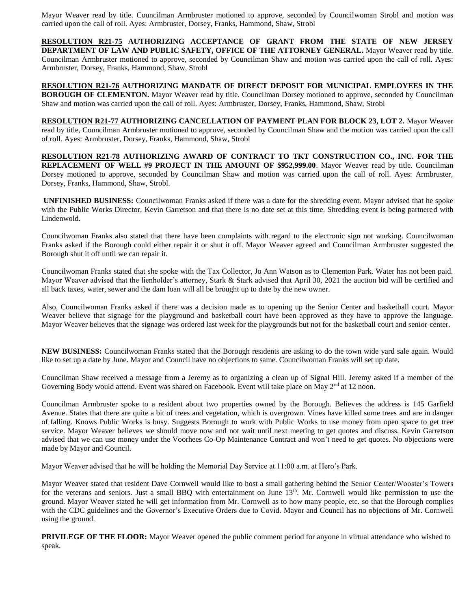Mayor Weaver read by title. Councilman Armbruster motioned to approve, seconded by Councilwoman Strobl and motion was carried upon the call of roll. Ayes: Armbruster, Dorsey, Franks, Hammond, Shaw, Strobl

**RESOLUTION R21-75 AUTHORIZING ACCEPTANCE OF GRANT FROM THE STATE OF NEW JERSEY DEPARTMENT OF LAW AND PUBLIC SAFETY, OFFICE OF THE ATTORNEY GENERAL.** Mayor Weaver read by title. Councilman Armbruster motioned to approve, seconded by Councilman Shaw and motion was carried upon the call of roll. Ayes: Armbruster, Dorsey, Franks, Hammond, Shaw, Strobl

**RESOLUTION R21-76 AUTHORIZING MANDATE OF DIRECT DEPOSIT FOR MUNICIPAL EMPLOYEES IN THE BOROUGH OF CLEMENTON.** Mayor Weaver read by title. Councilman Dorsey motioned to approve, seconded by Councilman Shaw and motion was carried upon the call of roll. Ayes: Armbruster, Dorsey, Franks, Hammond, Shaw, Strobl

**RESOLUTION R21-77 AUTHORIZING CANCELLATION OF PAYMENT PLAN FOR BLOCK 23, LOT 2.** Mayor Weaver read by title, Councilman Armbruster motioned to approve, seconded by Councilman Shaw and the motion was carried upon the call of roll. Ayes: Armbruster, Dorsey, Franks, Hammond, Shaw, Strobl

**RESOLUTION R21-78 AUTHORIZING AWARD OF CONTRACT TO TKT CONSTRUCTION CO., INC. FOR THE REPLACEMENT OF WELL #9 PROJECT IN THE AMOUNT OF \$952,999.00**. Mayor Weaver read by title. Councilman Dorsey motioned to approve, seconded by Councilman Shaw and motion was carried upon the call of roll. Ayes: Armbruster, Dorsey, Franks, Hammond, Shaw, Strobl.

**UNFINISHED BUSINESS:** Councilwoman Franks asked if there was a date for the shredding event. Mayor advised that he spoke with the Public Works Director, Kevin Garretson and that there is no date set at this time. Shredding event is being partnered with Lindenwold.

Councilwoman Franks also stated that there have been complaints with regard to the electronic sign not working. Councilwoman Franks asked if the Borough could either repair it or shut it off. Mayor Weaver agreed and Councilman Armbruster suggested the Borough shut it off until we can repair it.

Councilwoman Franks stated that she spoke with the Tax Collector, Jo Ann Watson as to Clementon Park. Water has not been paid. Mayor Weaver advised that the lienholder's attorney, Stark & Stark advised that April 30, 2021 the auction bid will be certified and all back taxes, water, sewer and the dam loan will all be brought up to date by the new owner.

Also, Councilwoman Franks asked if there was a decision made as to opening up the Senior Center and basketball court. Mayor Weaver believe that signage for the playground and basketball court have been approved as they have to approve the language. Mayor Weaver believes that the signage was ordered last week for the playgrounds but not for the basketball court and senior center.

**NEW BUSINESS:** Councilwoman Franks stated that the Borough residents are asking to do the town wide yard sale again. Would like to set up a date by June. Mayor and Council have no objections to same. Councilwoman Franks will set up date.

Councilman Shaw received a message from a Jeremy as to organizing a clean up of Signal Hill. Jeremy asked if a member of the Governing Body would attend. Event was shared on Facebook. Event will take place on May  $2<sup>nd</sup>$  at 12 noon.

Councilman Armbruster spoke to a resident about two properties owned by the Borough. Believes the address is 145 Garfield Avenue. States that there are quite a bit of trees and vegetation, which is overgrown. Vines have killed some trees and are in danger of falling. Knows Public Works is busy. Suggests Borough to work with Public Works to use money from open space to get tree service. Mayor Weaver believes we should move now and not wait until next meeting to get quotes and discuss. Kevin Garretson advised that we can use money under the Voorhees Co-Op Maintenance Contract and won't need to get quotes. No objections were made by Mayor and Council.

Mayor Weaver advised that he will be holding the Memorial Day Service at 11:00 a.m. at Hero's Park.

Mayor Weaver stated that resident Dave Cornwell would like to host a small gathering behind the Senior Center/Wooster's Towers for the veterans and seniors. Just a small BBQ with entertainment on June 13<sup>th</sup>. Mr. Cornwell would like permission to use the ground. Mayor Weaver stated he will get information from Mr. Cornwell as to how many people, etc. so that the Borough complies with the CDC guidelines and the Governor's Executive Orders due to Covid. Mayor and Council has no objections of Mr. Cornwell using the ground.

**PRIVILEGE OF THE FLOOR:** Mayor Weaver opened the public comment period for anyone in virtual attendance who wished to speak.